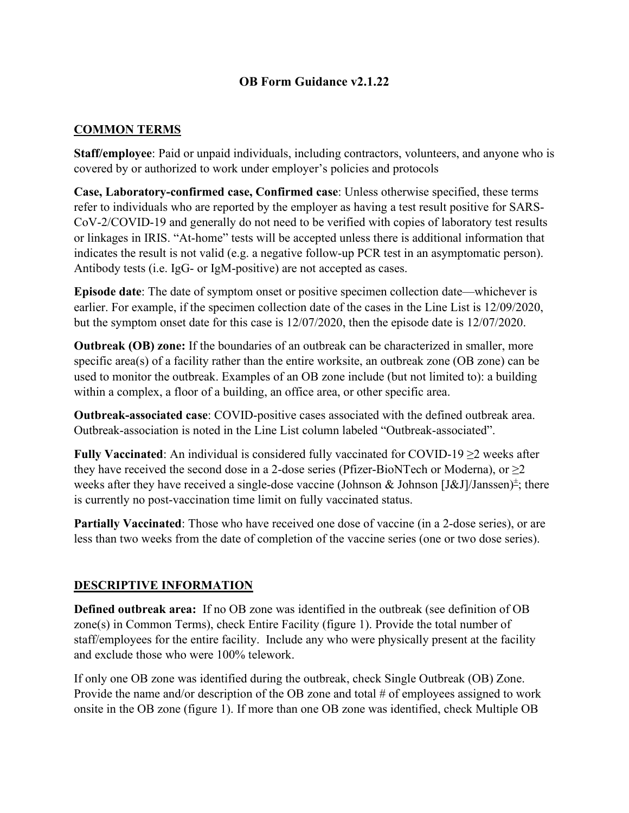# **OB Form Guidance v2.1.22**

## **COMMON TERMS**

**Staff/employee**: Paid or unpaid individuals, including contractors, volunteers, and anyone who is covered by or authorized to work under employer's policies and protocols

**Case, Laboratory-confirmed case, Confirmed case**: Unless otherwise specified, these terms refer to individuals who are reported by the employer as having a test result positive for SARS-CoV-2/COVID-19 and generally do not need to be verified with copies of laboratory test results or linkages in IRIS. "At-home" tests will be accepted unless there is additional information that indicates the result is not valid (e.g. a negative follow-up PCR test in an asymptomatic person). Antibody tests (i.e. IgG- or IgM-positive) are not accepted as cases.

**Episode date**: The date of symptom onset or positive specimen collection date—whichever is earlier. For example, if the specimen collection date of the cases in the Line List is 12/09/2020, but the symptom onset date for this case is 12/07/2020, then the episode date is 12/07/2020.

**Outbreak (OB) zone:** If the boundaries of an outbreak can be characterized in smaller, more specific area(s) of a facility rather than the entire worksite, an outbreak zone (OB zone) can be used to monitor the outbreak. Examples of an OB zone include (but not limited to): a building within a complex, a floor of a building, an office area, or other specific area.

**Outbreak-associated case**: COVID-positive cases associated with the defined outbreak area. Outbreak-association is noted in the Line List column labeled "Outbreak-associated".

**Fully Vaccinated**: An individual is considered fully vaccinated for COVID-19 ≥2 weeks after they have received the second dose in a 2-dose series (Pfizer-BioNTech or Moderna), or  $\geq 2$ weeks after they have received a single-dose vaccine (Johnson & Johnson [J&J]/Janssen)<sup> $\pm$ </sup>; there is currently no post-vaccination time limit on fully vaccinated status.

**Partially Vaccinated**: Those who have received one dose of vaccine (in a 2-dose series), or are less than two weeks from the date of completion of the vaccine series (one or two dose series).

#### **DESCRIPTIVE INFORMATION**

**Defined outbreak area:** If no OB zone was identified in the outbreak (see definition of OB zone(s) in Common Terms), check Entire Facility (figure 1). Provide the total number of staff/employees for the entire facility. Include any who were physically present at the facility and exclude those who were 100% telework.

If only one OB zone was identified during the outbreak, check Single Outbreak (OB) Zone. Provide the name and/or description of the OB zone and total # of employees assigned to work onsite in the OB zone (figure 1). If more than one OB zone was identified, check Multiple OB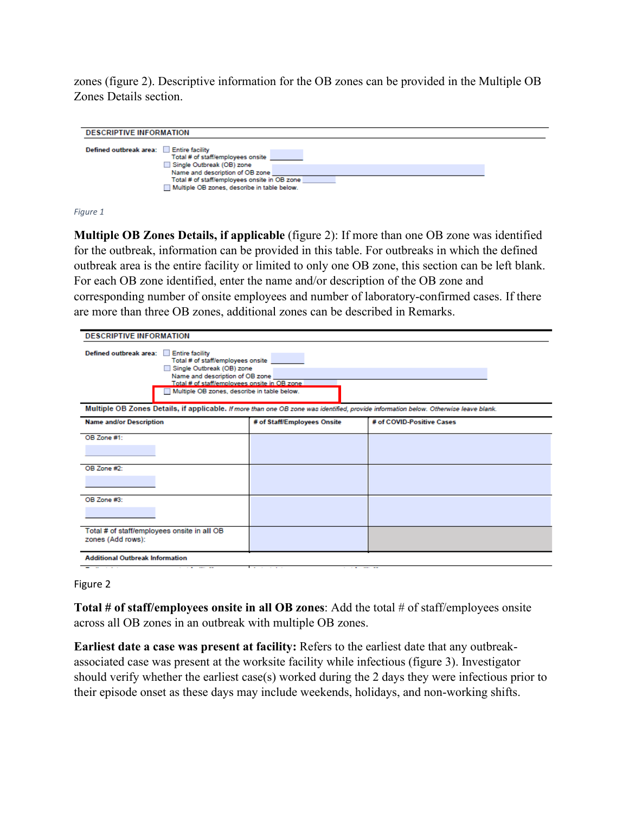zones (figure 2). Descriptive information for the OB zones can be provided in the Multiple OB Zones Details section.

| <b>DESCRIPTIVE INFORMATION</b>         |                                                                                                                                                                                                  |  |  |
|----------------------------------------|--------------------------------------------------------------------------------------------------------------------------------------------------------------------------------------------------|--|--|
| Defined outbreak area: Entire facility | Total # of staff/employees onsite<br>Single Outbreak (OB) zone<br>Name and description of OB zone<br>Total # of staff/employees onsite in OB zone<br>Multiple OB zones, describe in table below. |  |  |

*Figure 1*

**Multiple OB Zones Details, if applicable** (figure 2): If more than one OB zone was identified for the outbreak, information can be provided in this table. For outbreaks in which the defined outbreak area is the entire facility or limited to only one OB zone, this section can be left blank. For each OB zone identified, enter the name and/or description of the OB zone and corresponding number of onsite employees and number of laboratory-confirmed cases. If there are more than three OB zones, additional zones can be described in Remarks.

| <b>DESCRIPTIVE INFORMATION</b>                                                                                                                                                                                                                        |                             |                           |
|-------------------------------------------------------------------------------------------------------------------------------------------------------------------------------------------------------------------------------------------------------|-----------------------------|---------------------------|
| Defined outbreak area:<br><b>Entire facility</b><br>Total # of staff/employees onsite<br>Single Outbreak (OB) zone<br>Name and description of OB zone<br>Total # of staff/employees onsite in OB zone.<br>Multiple OB zones, describe in table below. |                             |                           |
| Multiple OB Zones Details, if applicable. If more than one OB zone was identified, provide information below. Otherwise leave blank.                                                                                                                  |                             |                           |
| <b>Name and/or Description</b>                                                                                                                                                                                                                        | # of Staff/Employees Onsite | # of COVID-Positive Cases |
| OB Zone #1:                                                                                                                                                                                                                                           |                             |                           |
| OB Zone #2:                                                                                                                                                                                                                                           |                             |                           |
| OB Zone #3:                                                                                                                                                                                                                                           |                             |                           |
| Total # of staff/employees onsite in all OB<br>zones (Add rows):                                                                                                                                                                                      |                             |                           |
| <b>Additional Outbreak Information</b>                                                                                                                                                                                                                |                             |                           |

Figure 2

**Total # of staff/employees onsite in all OB zones**: Add the total # of staff/employees onsite across all OB zones in an outbreak with multiple OB zones.

**Earliest date a case was present at facility:** Refers to the earliest date that any outbreakassociated case was present at the worksite facility while infectious (figure 3). Investigator should verify whether the earliest case(s) worked during the 2 days they were infectious prior to their episode onset as these days may include weekends, holidays, and non-working shifts.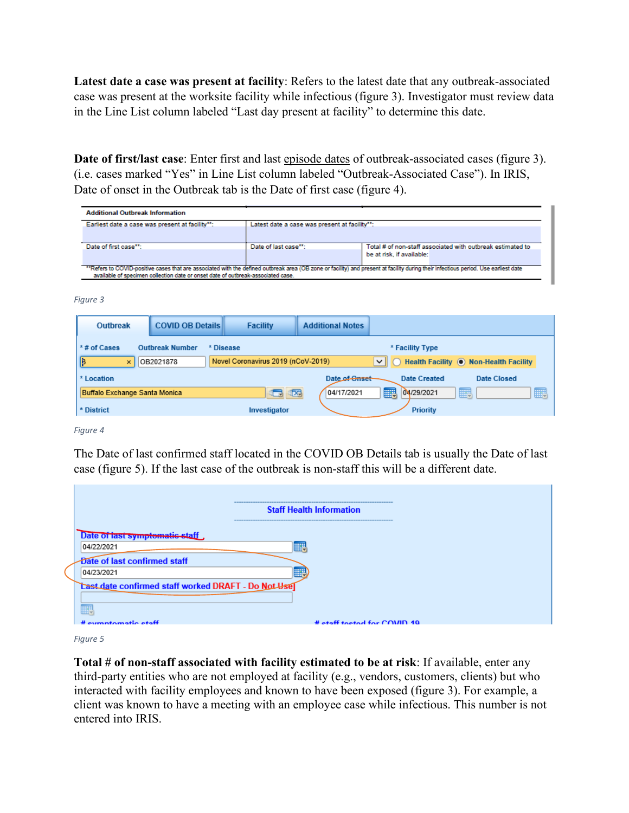**Latest date a case was present at facility**: Refers to the latest date that any outbreak-associated case was present at the worksite facility while infectious (figure 3). Investigator must review data in the Line List column labeled "Last day present at facility" to determine this date.

**Date of first/last case**: Enter first and last episode dates of outbreak-associated cases (figure 3). (i.e. cases marked "Yes" in Line List column labeled "Outbreak-Associated Case"). In IRIS, Date of onset in the Outbreak tab is the Date of first case (figure 4).

| <b>Additional Outbreak Information</b>                                                                                                                                             |                                                                                   |                           |  |  |  |
|------------------------------------------------------------------------------------------------------------------------------------------------------------------------------------|-----------------------------------------------------------------------------------|---------------------------|--|--|--|
| Earliest date a case was present at facility":                                                                                                                                     | Latest date a case was present at facility"":                                     |                           |  |  |  |
|                                                                                                                                                                                    |                                                                                   |                           |  |  |  |
| Date of first case <sup>**</sup> :                                                                                                                                                 | Total # of non-staff associated with outbreak estimated to<br>Date of last case": |                           |  |  |  |
|                                                                                                                                                                                    |                                                                                   | be at risk, if available: |  |  |  |
|                                                                                                                                                                                    |                                                                                   |                           |  |  |  |
| "Refers to COVID-positive cases that are associated with the defined outbreak area (OB zone or facility) and present at facility during their infectious period. Use earliest date |                                                                                   |                           |  |  |  |
| available of specimen collection date or onset date of outbreak-associated case.                                                                                                   |                                                                                   |                           |  |  |  |

*Figure 3*

| Outbreak                             | <b>COVID OB Details</b> | <b>Facility</b>                    | <b>Additional Notes</b> |                     |                                         |
|--------------------------------------|-------------------------|------------------------------------|-------------------------|---------------------|-----------------------------------------|
| *# of Cases                          | <b>Outbreak Number</b>  | * Disease                          |                         | * Facility Type     |                                         |
| IB<br>$\times$                       | OB2021878               | Novel Coronavirus 2019 (nCoV-2019) |                         | ◡∥                  | Health Facility (.) Non-Health Facility |
| * Location                           |                         |                                    | Date of Onset           | <b>Date Created</b> | Date Closed                             |
| <b>Buffalo Exchange Santa Monica</b> |                         | 区<br>الجلال                        | 04/17/2021              | 廳<br>04/29/2021     | 疅<br>W                                  |
| * District                           |                         | Investigator                       |                         | <b>Priority</b>     |                                         |

*Figure 4*

The Date of last confirmed staff located in the COVID OB Details tab is usually the Date of last case (figure 5). If the last case of the outbreak is non-staff this will be a different date.

 $\overline{\phantom{a}}$ 

|                                                                                                                                                        | <b>Staff Health Information</b>                                   |
|--------------------------------------------------------------------------------------------------------------------------------------------------------|-------------------------------------------------------------------|
| Date of last symptomatic stat<br>04/22/2021<br>Date of last confirmed staff<br>04/23/2021<br>Last date confirmed staff worked DRAFT - Do Not Use<br>W. | <br>------<br><b>HHV</b><br>------<br><b>TERRIT</b><br><b>HH-</b> |
| # oumntamatic staff                                                                                                                                    | # etaff toetad for COMD 10                                        |

*Figure 5*

**Total # of non-staff associated with facility estimated to be at risk**: If available, enter any third-party entities who are not employed at facility (e.g., vendors, customers, clients) but who interacted with facility employees and known to have been exposed (figure 3). For example, a client was known to have a meeting with an employee case while infectious. This number is not entered into IRIS.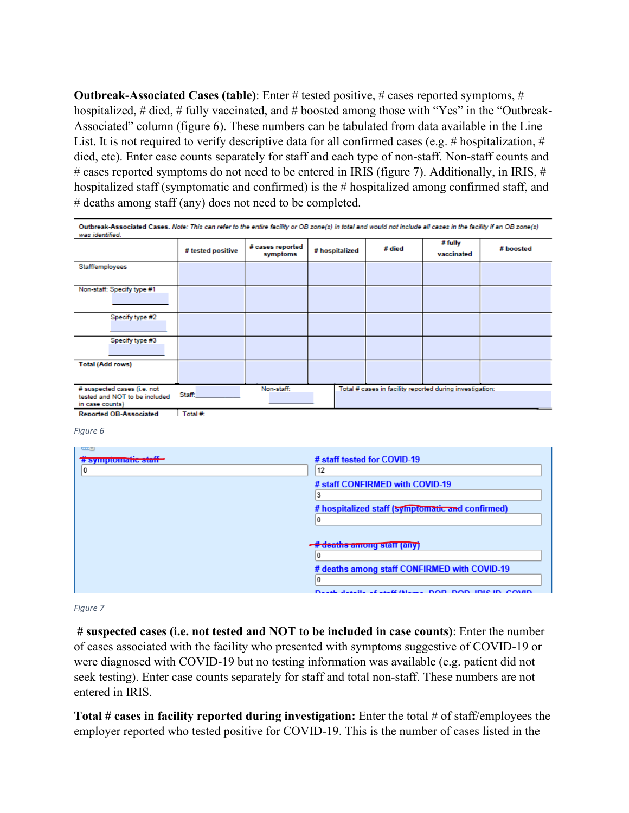**Outbreak-Associated Cases (table)**: Enter # tested positive, # cases reported symptoms, # hospitalized, # died, # fully vaccinated, and # boosted among those with "Yes" in the "Outbreak-Associated" column (figure 6). These numbers can be tabulated from data available in the Line List. It is not required to verify descriptive data for all confirmed cases (e.g. # hospitalization, # died, etc). Enter case counts separately for staff and each type of non-staff. Non-staff counts and # cases reported symptoms do not need to be entered in IRIS (figure 7). Additionally, in IRIS, # hospitalized staff (symptomatic and confirmed) is the # hospitalized among confirmed staff, and # deaths among staff (any) does not need to be completed.

| Outbreak-Associated Cases. Note: This can refer to the entire facility or OB zone(s) in total and would not include all cases in the facility if an OB zone(s)<br>was identified. |                   |                              |                |        |                                                          |           |
|-----------------------------------------------------------------------------------------------------------------------------------------------------------------------------------|-------------------|------------------------------|----------------|--------|----------------------------------------------------------|-----------|
|                                                                                                                                                                                   | # tested positive | # cases reported<br>symptoms | # hospitalized | # died | # fully<br>vaccinated                                    | # boosted |
| Staff/employees                                                                                                                                                                   |                   |                              |                |        |                                                          |           |
| Non-staff: Specify type #1                                                                                                                                                        |                   |                              |                |        |                                                          |           |
| Specify type #2                                                                                                                                                                   |                   |                              |                |        |                                                          |           |
| Specify type #3                                                                                                                                                                   |                   |                              |                |        |                                                          |           |
| <b>Total (Add rows)</b>                                                                                                                                                           |                   |                              |                |        |                                                          |           |
| # suspected cases (i.e. not<br>tested and NOT to be included<br>in case counts)                                                                                                   | Staff:            | Non-staff:                   |                |        | Total # cases in facility reported during investigation: |           |
| <b>Reported OB-Associated</b>                                                                                                                                                     | Total #:          |                              |                |        |                                                          |           |

*Figure 6*

| <u>the set</u><br># symptomatic staff<br>0 | # staff tested for COVID-19<br>12                                                                    |
|--------------------------------------------|------------------------------------------------------------------------------------------------------|
|                                            | # staff CONFIRMED with COVID-19                                                                      |
|                                            | # hospitalized staff (symptomatic and confirmed)                                                     |
|                                            | <b># deaths among staff (any)</b>                                                                    |
|                                            |                                                                                                      |
|                                            | # deaths among staff CONFIRMED with COVID-19<br><b>Deal Joelle Joell (News DOD DOD JDIE ID COURD</b> |

*Figure 7*

**# suspected cases (i.e. not tested and NOT to be included in case counts)**: Enter the number of cases associated with the facility who presented with symptoms suggestive of COVID-19 or were diagnosed with COVID-19 but no testing information was available (e.g. patient did not seek testing). Enter case counts separately for staff and total non-staff. These numbers are not entered in IRIS.

**Total # cases in facility reported during investigation:** Enter the total # of staff/employees the employer reported who tested positive for COVID-19. This is the number of cases listed in the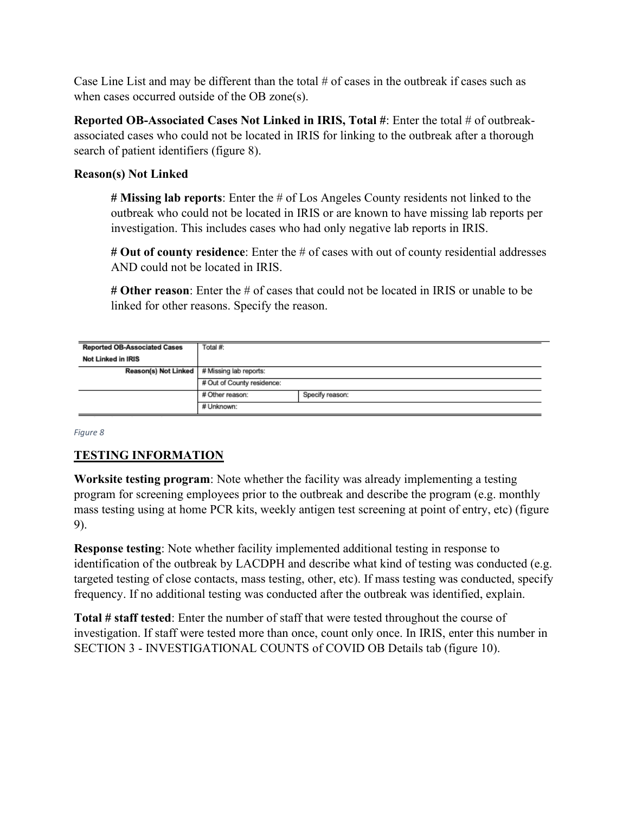Case Line List and may be different than the total  $\#$  of cases in the outbreak if cases such as when cases occurred outside of the OB zone(s).

**Reported OB-Associated Cases Not Linked in IRIS, Total #**: Enter the total # of outbreakassociated cases who could not be located in IRIS for linking to the outbreak after a thorough search of patient identifiers (figure 8).

# **Reason(s) Not Linked**

**# Missing lab reports**: Enter the # of Los Angeles County residents not linked to the outbreak who could not be located in IRIS or are known to have missing lab reports per investigation. This includes cases who had only negative lab reports in IRIS.

**# Out of county residence**: Enter the # of cases with out of county residential addresses AND could not be located in IRIS.

**# Other reason**: Enter the # of cases that could not be located in IRIS or unable to be linked for other reasons. Specify the reason.

| <b>Reported OB-Associated Cases</b>           | Total #:                           |  |  |
|-----------------------------------------------|------------------------------------|--|--|
| Not Linked in IRIS                            |                                    |  |  |
| Reason(s) Not Linked   # Missing lab reports: |                                    |  |  |
|                                               | # Out of County residence:         |  |  |
|                                               | Specify reason:<br># Other reason: |  |  |
|                                               | # Unknown:                         |  |  |

*Figure 8*

# **TESTING INFORMATION**

**Worksite testing program**: Note whether the facility was already implementing a testing program for screening employees prior to the outbreak and describe the program (e.g. monthly mass testing using at home PCR kits, weekly antigen test screening at point of entry, etc) (figure 9).

**Response testing**: Note whether facility implemented additional testing in response to identification of the outbreak by LACDPH and describe what kind of testing was conducted (e.g. targeted testing of close contacts, mass testing, other, etc). If mass testing was conducted, specify frequency. If no additional testing was conducted after the outbreak was identified, explain.

**Total # staff tested**: Enter the number of staff that were tested throughout the course of investigation. If staff were tested more than once, count only once. In IRIS, enter this number in SECTION 3 - INVESTIGATIONAL COUNTS of COVID OB Details tab (figure 10).